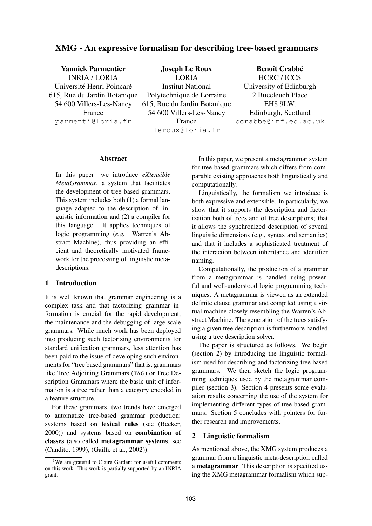# **XMG - An expressive formalism for describing tree-based grammars**

| <b>Yannick Parmentier</b>    | <b>Joseph Le Roux</b>        | <b>Benoît Crabbé</b>    |
|------------------------------|------------------------------|-------------------------|
| <b>INRIA / LORIA</b>         | <b>LORIA</b>                 | HCRC / ICCS             |
| Université Henri Poincaré    | <b>Institut National</b>     | University of Edinburgh |
| 615, Rue du Jardin Botanique | Polytechnique de Lorraine    | 2 Buccleuch Place       |
| 54 600 Villers-Les-Nancy     | 615, Rue du Jardin Botanique | EH8 9LW,                |
| France                       | 54 600 Villers-Les-Nancy     | Edinburgh, Scotland     |
| parmenti@loria.fr            | France                       | bcrabbe@inf.ed.ac.uk    |
|                              | leroux@loria.fr              |                         |

#### **Abstract**

In this paper<sup>1</sup> we introduce *eXtensible MetaGrammar*, a system that facilitates the development of tree based grammars. This system includes both (1) a formal language adapted to the description of linguistic information and (2) a compiler for this language. It applies techniques of logic programming (*e.g.* Warren's Abstract Machine), thus providing an efficient and theoretically motivated framework for the processing of linguistic metadescriptions.

## **1 Introduction**

It is well known that grammar engineering is a complex task and that factorizing grammar information is crucial for the rapid development, the maintenance and the debugging of large scale grammars. While much work has been deployed into producing such factorizing environments for standard unification grammars, less attention has been paid to the issue of developing such environments for "tree based grammars" that is, grammars like Tree Adjoining Grammars (TAG) or Tree Description Grammars where the basic unit of information is a tree rather than a category encoded in a feature structure.

For these grammars, two trends have emerged to automatize tree-based grammar production: systems based on **lexical rules** (see (Becker, 2000)) and systems based on **combination of classes** (also called **metagrammar systems**, see (Candito, 1999), (Gaiffe et al., 2002)).

In this paper, we present a metagrammar system for tree-based grammars which differs from comparable existing approaches both linguistically and computationally.

Linguistically, the formalism we introduce is both expressive and extensible. In particularly, we show that it supports the description and factorization both of trees and of tree descriptions; that it allows the synchronized description of several linguistic dimensions (e.g., syntax and semantics) and that it includes a sophisticated treatment of the interaction between inheritance and identifier naming.

Computationally, the production of a grammar from a metagrammar is handled using powerful and well-understood logic programming techniques. A metagrammar is viewed as an extended definite clause grammar and compiled using a virtual machine closely resembling the Warren's Abstract Machine. The generation of the trees satisfying a given tree description is furthermore handled using a tree description solver.

The paper is structured as follows. We begin (section 2) by introducing the linguistic formalism used for describing and factorizing tree based grammars. We then sketch the logic programming techniques used by the metagrammar compiler (section 3). Section 4 presents some evaluation results concerning the use of the system for implementing different types of tree based grammars. Section 5 concludes with pointers for further research and improvements.

#### **2 Linguistic formalism**

As mentioned above, the XMG system produces a grammar from a linguistic meta-description called a **metagrammar**. This description is specified using the XMG metagrammar formalism which sup-

<sup>&</sup>lt;sup>1</sup>We are grateful to Claire Gardent for useful comments on this work. This work is partially supported by an INRIA grant.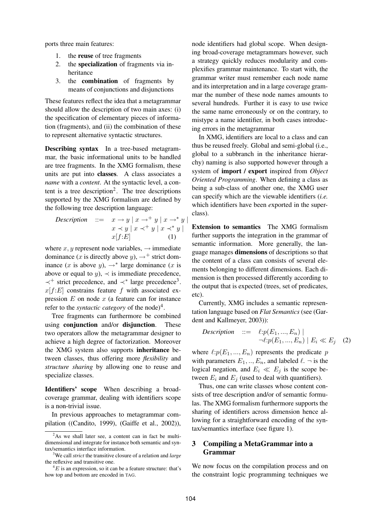ports three main features:

- 1. the **reuse** of tree fragments
- 2. the **specialization** of fragments via inheritance
- 3. the **combination** of fragments by means of conjunctions and disjunctions

These features reflect the idea that a metagrammar should allow the description of two main axes: (i) the specification of elementary pieces of information (fragments), and (ii) the combination of these to represent alternative syntactic structures.

**Describing syntax** In a tree-based metagrammar, the basic informational units to be handled are tree fragments. In the XMG formalism, these units are put into **classes**. A class associates a *name* with a *content*. At the syntactic level, a content is a tree description<sup>2</sup>. The tree descriptions supported by the XMG formalism are defined by the following tree description language:

$$
\begin{array}{lll}\n\text{Description} & ::= & x \to y \mid x \to^+ y \mid x \to^* y \mid \\
& x \prec y \mid x \prec^+ y \mid x \prec^* y \mid \\
& x[f:E] & (1) \n\end{array}
$$

where  $x, y$  represent node variables,  $\rightarrow$  immediate dominance (x is directly above  $y$ ),  $\rightarrow$ <sup>+</sup> strict dominance  $(x$  is above  $y)$ ,  $\rightarrow^*$  large dominance  $(x$  is above or equal to  $y$ ,  $\prec$  is immediate precedence, ≺<sup>+</sup> strict precedence, and ≺<sup>∗</sup> large precedence<sup>3</sup> .  $x[f:E]$  constrains feature f with associated expression  $E$  on node  $x$  (a feature can for instance refer to the *syntactic category* of the node)<sup>4</sup>.

Tree fragments can furthermore be combined using **conjunction** and/or **disjunction**. These two operators allow the metagrammar designer to achieve a high degree of factorization. Moreover the XMG system also supports **inheritance** between classes, thus offering more *flexibility* and *structure sharing* by allowing one to reuse and specialize classes.

**Identifiers' scope** When describing a broadcoverage grammar, dealing with identifiers scope is a non-trivial issue.

In previous approaches to metagrammar compilation ((Candito, 1999), (Gaiffe et al., 2002)), node identifiers had global scope. When designing broad-coverage metagrammars however, such a strategy quickly reduces modularity and complexifies grammar maintenance. To start with, the grammar writer must remember each node name and its interpretation and in a large coverage grammar the number of these node names amounts to several hundreds. Further it is easy to use twice the same name erroneously or on the contrary, to mistype a name identifier, in both cases introducing errors in the metagrammar

In XMG, identifiers are local to a class and can thus be reused freely. Global and semi-global (i.e., global to a subbranch in the inheritance hierarchy) naming is also supported however through a system of **import / export** inspired from *Object Oriented Programming*. When defining a class as being a sub-class of another one, the XMG user can specify which are the viewable identifiers (*i.e.* which identifiers have been *e*xported in the superclass).

**Extension to semantics** The XMG formalism further supports the integration in the grammar of semantic information. More generally, the language manages **dimensions** of descriptions so that the content of a class can consists of several elements belonging to different dimensions. Each dimension is then processed differently according to the output that is expected (trees, set of predicates, etc).

Currently, XMG includes a semantic representation language based on *Flat Semantics* (see (Gardent and Kallmeyer, 2003)):

*Description* ::= 
$$
\ell: p(E_1, ..., E_n) |
$$
  
\n $\neg \ell: p(E_1, ..., E_n) | E_i \ll E_j$  (2)

where  $\ell:p(E_1,...,E_n)$  represents the predicate p with parameters  $E_1, ..., E_n$ , and labeled  $\ell$ .  $\neg$  is the logical negation, and  $E_i \ll E_j$  is the scope between  $E_i$  and  $E_j$  (used to deal with quantifiers).

Thus, one can write classes whose content consists of tree description and/or of semantic formulas. The XMG formalism furthermore supports the sharing of identifiers across dimension hence allowing for a straightforward encoding of the syntax/semantics interface (see figure 1).

## **3 Compiling a MetaGrammar into a Grammar**

We now focus on the compilation process and on the constraint logic programming techniques we

 $2$ As we shall later see, a content can in fact be multidimensional and integrate for instance both semantic and syntax/semantics interface information.

<sup>3</sup>We call *strict* the transitive closure of a relation and *large* the reflexive and transitive one.

 ${}^{4}E$  is an expression, so it can be a feature structure: that's how top and bottom are encoded in TAG.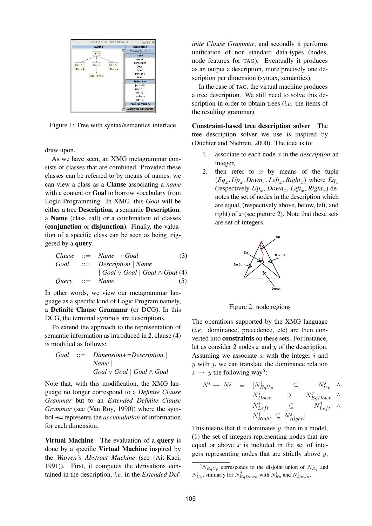

Figure 1: Tree with syntax/semantics interface

draw upon.

As we have seen, an XMG metagrammar consists of classes that are combined. Provided these classes can be referred to by means of names, we can view a class as a **Clause** associating a *name* with a content or **Goal** to borrow vocabulary from Logic Programming. In XMG, this *Goal* will be either a tree **Description**, a semantic **Description**, a **Name** (class call) or a combination of classes (**conjunction** or **disjunction**). Finally, the valuation of a specific class can be seen as being triggered by a **query**.

| Clause | ::= Name $\rightarrow$ Goal | (3)                                       |
|--------|-----------------------------|-------------------------------------------|
| Goal   | ::= Description   Name      | Goal $\vee$ Goal   Goal $\wedge$ Goal (4) |
| Query  | ::= Name                    | (5)                                       |

In other words, we view our metagrammar language as a specific kind of Logic Program namely, a **Definite Clause Grammar** (or DCG). In this DCG, the terminal symbols are descriptions.

To extend the approach to the representation of semantic information as introduced in 2, clause (4) is modified as follows:

*Goal* ::= *Dimension+=Description* | *Name* | *Goal* ∨ *Goal* | *Goal* ∧ *Goal*

Note that, with this modification, the XMG language no longer correspond to a *Definite Clause Grammar* but to an *Extended Definite Clause Grammar* (see (Van Roy, 1990)) where the symbol **+=** represents the *accumulation* of information for each dimension.

**Virtual Machine** The evaluation of a **query** is done by a specific **Virtual Machine** inspired by the *Warren's Abstract Machine* (see (Ait-Kaci, 1991)). First, it computes the derivations contained in the description, *i.e.* in the *Extended Def-* *inite Clause Grammar*, and secondly it performs unification of non standard data-types (nodes, node features for TAG). Eventually it produces as an output a description, more precisely one description per dimension (syntax, semantics).

In the case of TAG, the virtual machine produces a tree description. We still need to solve this description in order to obtain trees (*i.e.* the items of the resulting grammar).

**Constraint-based tree description solver** The tree description solver we use is inspired by (Duchier and Niehren, 2000). The idea is to:

- 1. associate to each node  $x$  in the *description* an integer,
- 2. then refer to  $x$  by means of the tuple  $(Eq_x, Up_x, Down_x, Left_x, Right_x)$  where  $Eq_x$ (respectively  $Up_x$ ,  $Down_x$ ,  $Left_x$ ,  $Right_x$ ) denotes the set of nodes in the description which are equal, (respectively above, below, left, and right) of  $x$  (see picture 2). Note that these sets are set of integers.



Figure 2: node regions

The operations supported by the XMG language (*i.e.* dominance, precedence, etc) are then converted into **constraints** on these sets. For instance, let us consider 2 nodes  $x$  and  $y$  of the description. Assuming we associate  $x$  with the integer  $i$  and  $y$  with  $j$ , we can translate the dominance relation  $x \rightarrow y$  the following way<sup>5</sup>:

$$
N^{i} \rightarrow N^{j} \equiv [N^{i}_{EqUp} \subseteq N^{j}_{Up} \land N^{j}_{Down}] \geq N^{j}_{EqDown} \land N^{i}_{Left} \subseteq N^{j}_{Left} \land N^{j}_{Left} \subseteq N^{j}_{Right} \subseteq N^{j}_{Right}]
$$

This means that if  $x$  dominates  $y$ , then in a model, (1) the set of integers representing nodes that are equal or above  $x$  is included in the set of integers representing nodes that are strictly above  $y$ ,

 ${}^5N_{EqUp}^i$  corresponds to the disjoint union of  $N_{Eq}^i$  and  $N_{Up}^i$ , similarly for  $N_{EqDown}^j$  with  $N_{Eq}^i$  and  $N_{Down}^i$ .